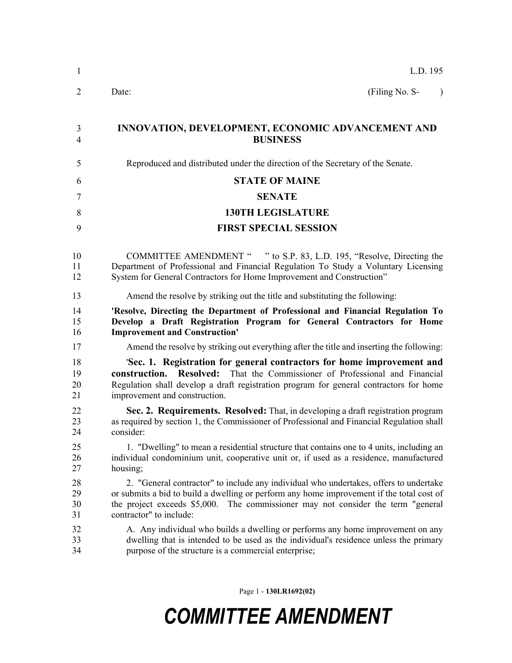| $\mathbf{1}$         | L.D. 195                                                                                                                                                                                                                                                                                          |
|----------------------|---------------------------------------------------------------------------------------------------------------------------------------------------------------------------------------------------------------------------------------------------------------------------------------------------|
| 2                    | (Filing No. S-<br>Date:<br>$\lambda$                                                                                                                                                                                                                                                              |
| 3<br>$\overline{4}$  | <b>INNOVATION, DEVELOPMENT, ECONOMIC ADVANCEMENT AND</b><br><b>BUSINESS</b>                                                                                                                                                                                                                       |
| 5                    | Reproduced and distributed under the direction of the Secretary of the Senate.                                                                                                                                                                                                                    |
| 6                    | <b>STATE OF MAINE</b>                                                                                                                                                                                                                                                                             |
| 7                    | <b>SENATE</b>                                                                                                                                                                                                                                                                                     |
| 8                    | <b>130TH LEGISLATURE</b>                                                                                                                                                                                                                                                                          |
| 9                    | <b>FIRST SPECIAL SESSION</b>                                                                                                                                                                                                                                                                      |
| 10<br>11<br>12       | COMMITTEE AMENDMENT " " to S.P. 83, L.D. 195, "Resolve, Directing the<br>Department of Professional and Financial Regulation To Study a Voluntary Licensing<br>System for General Contractors for Home Improvement and Construction"                                                              |
| 13                   | Amend the resolve by striking out the title and substituting the following:                                                                                                                                                                                                                       |
| 14<br>15<br>16       | 'Resolve, Directing the Department of Professional and Financial Regulation To<br>Develop a Draft Registration Program for General Contractors for Home<br><b>Improvement and Construction'</b>                                                                                                   |
| 17                   | Amend the resolve by striking out everything after the title and inserting the following:                                                                                                                                                                                                         |
| 18<br>19<br>20<br>21 | 'Sec. 1. Registration for general contractors for home improvement and<br><b>Resolved:</b><br>That the Commissioner of Professional and Financial<br>construction.<br>Regulation shall develop a draft registration program for general contractors for home<br>improvement and construction.     |
| 22<br>23<br>24       | Sec. 2. Requirements. Resolved: That, in developing a draft registration program<br>as required by section 1, the Commissioner of Professional and Financial Regulation shall<br>consider:                                                                                                        |
| 25<br>26<br>27       | 1. "Dwelling" to mean a residential structure that contains one to 4 units, including an<br>individual condominium unit, cooperative unit or, if used as a residence, manufactured<br>housing;                                                                                                    |
| 28<br>29<br>30<br>31 | 2. "General contractor" to include any individual who undertakes, offers to undertake<br>or submits a bid to build a dwelling or perform any home improvement if the total cost of<br>the project exceeds \$5,000. The commissioner may not consider the term "general<br>contractor" to include: |
| 32<br>33<br>34       | A. Any individual who builds a dwelling or performs any home improvement on any<br>dwelling that is intended to be used as the individual's residence unless the primary<br>purpose of the structure is a commercial enterprise;                                                                  |

Page 1 - **130LR1692(02)**

## *COMMITTEE AMENDMENT*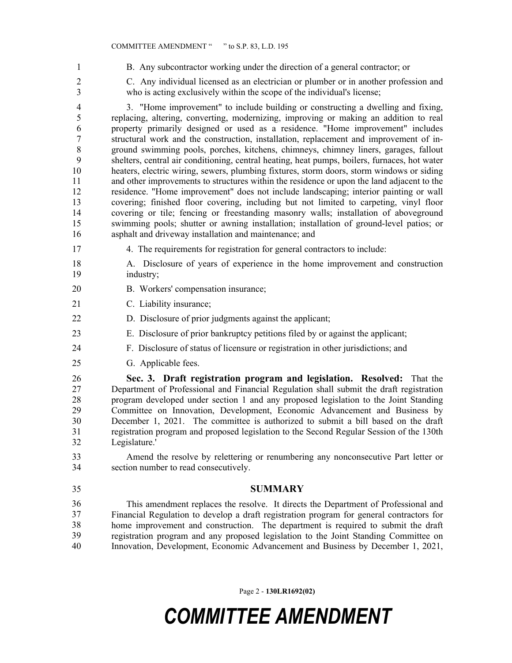1 B. Any subcontractor working under the direction of a general contractor; or

2 C. Any individual licensed as an electrician or plumber or in another profession and 3 who is acting exclusively within the scope of the individual's license;

4 3. "Home improvement" to include building or constructing a dwelling and fixing, 5 replacing, altering, converting, modernizing, improving or making an addition to real 6 property primarily designed or used as a residence. "Home improvement" includes 7 structural work and the construction, installation, replacement and improvement of in-8 ground swimming pools, porches, kitchens, chimneys, chimney liners, garages, fallout 9 shelters, central air conditioning, central heating, heat pumps, boilers, furnaces, hot water 10 heaters, electric wiring, sewers, plumbing fixtures, storm doors, storm windows or siding 11 and other improvements to structures within the residence or upon the land adjacent to the 12 residence. "Home improvement" does not include landscaping; interior painting or wall 13 covering; finished floor covering, including but not limited to carpeting, vinyl floor 14 covering or tile; fencing or freestanding masonry walls; installation of aboveground 15 swimming pools; shutter or awning installation; installation of ground-level patios; or 16 asphalt and driveway installation and maintenance; and

- 17 4. The requirements for registration for general contractors to include:
- 18 A. Disclosure of years of experience in the home improvement and construction 19 industry;
- 20 B. Workers' compensation insurance;
- 21 C. Liability insurance;
- 22 D. Disclosure of prior judgments against the applicant;
- 23 E. Disclosure of prior bankruptcy petitions filed by or against the applicant;
- 24 F. Disclosure of status of licensure or registration in other jurisdictions; and
- 25 G. Applicable fees.

26 **Sec. 3. Draft registration program and legislation. Resolved:** That the 27 Department of Professional and Financial Regulation shall submit the draft registration 28 program developed under section 1 and any proposed legislation to the Joint Standing 29 Committee on Innovation, Development, Economic Advancement and Business by 30 December 1, 2021. The committee is authorized to submit a bill based on the draft 31 registration program and proposed legislation to the Second Regular Session of the 130th 32 Legislature.'

33 Amend the resolve by relettering or renumbering any nonconsecutive Part letter or 34 section number to read consecutively.

35 **SUMMARY**

This amendment replaces the resolve. It directs the Department of Professional and 37 Financial Regulation to develop a draft registration program for general contractors for home improvement and construction. The department is required to submit the draft 39 registration program and any proposed legislation to the Joint Standing Committee on Innovation, Development, Economic Advancement and Business by December 1, 2021, 36 37 38 39 40

Page 2 - **130LR1692(02)**

## *COMMITTEE AMENDMENT*